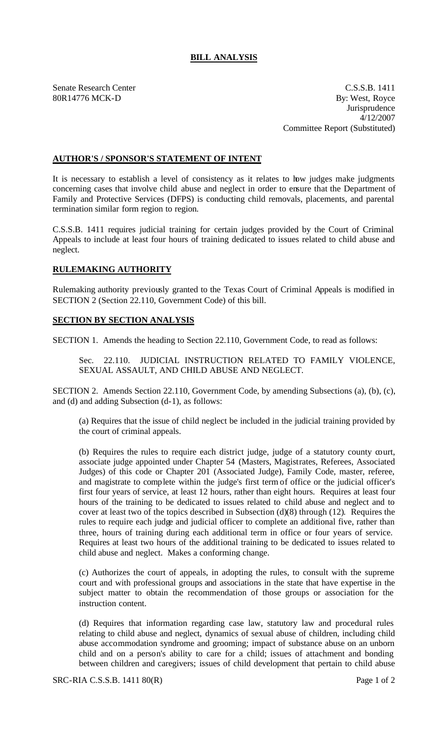## **BILL ANALYSIS**

Senate Research Center C.S.S.B. 1411 80R14776 MCK-D By: West, Royce **Jurisprudence** 4/12/2007 Committee Report (Substituted)

## **AUTHOR'S / SPONSOR'S STATEMENT OF INTENT**

It is necessary to establish a level of consistency as it relates to how judges make judgments concerning cases that involve child abuse and neglect in order to ensure that the Department of Family and Protective Services (DFPS) is conducting child removals, placements, and parental termination similar form region to region.

C.S.S.B. 1411 requires judicial training for certain judges provided by the Court of Criminal Appeals to include at least four hours of training dedicated to issues related to child abuse and neglect.

## **RULEMAKING AUTHORITY**

Rulemaking authority previously granted to the Texas Court of Criminal Appeals is modified in SECTION 2 (Section 22.110, Government Code) of this bill.

## **SECTION BY SECTION ANALYSIS**

SECTION 1. Amends the heading to Section 22.110, Government Code, to read as follows:

Sec. 22.110. JUDICIAL INSTRUCTION RELATED TO FAMILY VIOLENCE, SEXUAL ASSAULT, AND CHILD ABUSE AND NEGLECT.

SECTION 2. Amends Section 22.110, Government Code, by amending Subsections (a), (b), (c), and (d) and adding Subsection (d-1), as follows:

(a) Requires that the issue of child neglect be included in the judicial training provided by the court of criminal appeals.

(b) Requires the rules to require each district judge, judge of a statutory county court, associate judge appointed under Chapter 54 (Masters, Magistrates, Referees, Associated Judges) of this code or Chapter 201 (Associated Judge), Family Code, master, referee, and magistrate to complete within the judge's first term of office or the judicial officer's first four years of service, at least 12 hours, rather than eight hours. Requires at least four hours of the training to be dedicated to issues related to child abuse and neglect and to cover at least two of the topics described in Subsection (d)(8) through (12). Requires the rules to require each judge and judicial officer to complete an additional five, rather than three, hours of training during each additional term in office or four years of service. Requires at least two hours of the additional training to be dedicated to issues related to child abuse and neglect. Makes a conforming change.

(c) Authorizes the court of appeals, in adopting the rules, to consult with the supreme court and with professional groups and associations in the state that have expertise in the subject matter to obtain the recommendation of those groups or association for the instruction content.

(d) Requires that information regarding case law, statutory law and procedural rules relating to child abuse and neglect, dynamics of sexual abuse of children, including child abuse accommodation syndrome and grooming; impact of substance abuse on an unborn child and on a person's ability to care for a child; issues of attachment and bonding between children and caregivers; issues of child development that pertain to child abuse